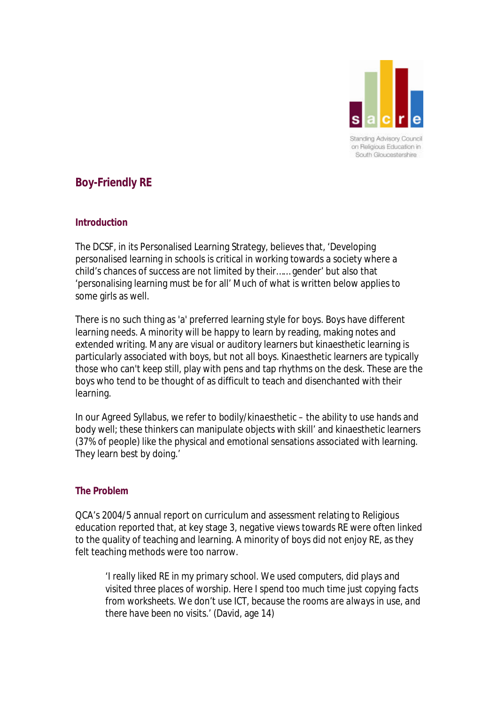

Standing Advisory Council on Religious Education in South Gloucestershire

# **Boy-Friendly RE**

### **Introduction**

The DCSF, in its Personalised Learning Strategy, believes that, 'Developing personalised learning in schools is critical in working towards a society where a child's chances of success are not limited by their…… gender' but also that 'personalising learning must be for all' Much of what is written below applies to some girls as well.

There is no such thing as 'a' preferred learning style for boys. Boys have different learning needs. A minority will be happy to learn by reading, making notes and extended writing. Many are visual or auditory learners but kinaesthetic learning is particularly associated with boys, but not all boys. Kinaesthetic learners are typically those who can't keep still, play with pens and tap rhythms on the desk. These are the boys who tend to be thought of as difficult to teach and disenchanted with their learning.

In our Agreed Syllabus, we refer to *bodily/kinaesthetic* – the ability to use hands and body well; these thinkers can manipulate objects with skill' and kinaesthetic learners (37% of people) like the physical and emotional sensations associated with learning. They learn best by doing.'

# **The Problem**

QCA's 2004/5 annual report on curriculum and assessment relating to Religious education reported that, at key stage 3, negative views towards RE were often linked to the quality of teaching and learning. A minority of boys did not enjoy RE, as they felt teaching methods were too narrow.

*'I really liked RE in my primary school. We used computers, did plays and visited three places of worship. Here I spend too much time just copying facts from worksheets. We don't use ICT, because the rooms are always in use, and there have been no visits.'* (David, age 14)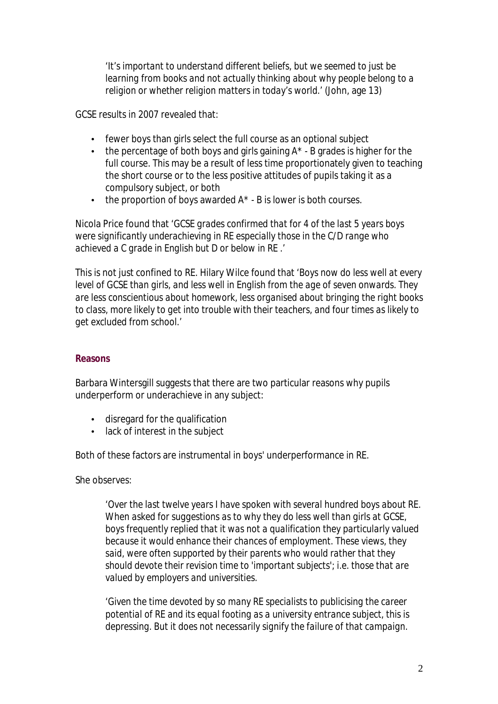*'It's important to understand different beliefs, but we seemed to just be learning from books and not actually thinking about why people belong to a religion or whether religion matters in today's world.'* (John, age 13)

GCSE results in 2007 revealed that:

- fewer boys than girls select the full course as an optional subject
- the percentage of both boys and girls gaining  $A^*$  B grades is higher for the full course. This may be a result of less time proportionately given to teaching the short course or to the less positive attitudes of pupils taking it as a compulsory subject, or both
- $\bullet$  the proportion of boys awarded  $A^*$  B is lower is both courses.

Nicola Price found that *'GCSE grades confirmed that for 4 of the last 5 years boys were significantly underachieving in RE especially those in the C/D range who achieved a C grade in English but D or below in RE .'*

This is not just confined to RE. Hilary Wilce found that *'Boys now do less well at every level of GCSE than girls, and less well in English from the age of seven onwards. They are less conscientious about homework, less organised about bringing the right books to class, more likely to get into trouble with their teachers, and four times as likely to get excluded from school.'*

### **Reasons**

Barbara Wintersgill suggests that there are two particular reasons why pupils underperform or underachieve in any subject:

- disregard for the qualification
- lack of interest in the subject

Both of these factors are instrumental in boys' underperformance in RE.

She observes:

*'Over the last twelve years I have spoken with several hundred boys about RE. When asked for suggestions as to why they do less well than girls at GCSE, boys frequently replied that it was not a qualification they particularly valued because it would enhance their chances of employment. These views, they said, were often supported by their parents who would rather that they should devote their revision time to 'important subjects'; i.e. those that are valued by employers and universities.*

*'Given the time devoted by so many RE specialists to publicising the career potential of RE and its equal footing as a university entrance subject, this is depressing. But it does not necessarily signify the failure of that campaign.*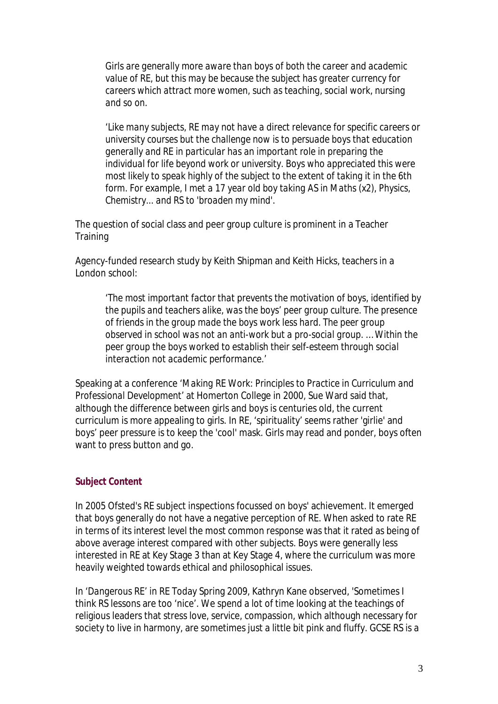*Girls are generally more aware than boys of both the career and academic value of RE, but this may be because the subject has greater currency for careers which attract more women, such as teaching, social work, nursing and so on.*

*'Like many subjects, RE may not have a direct relevance for specific careers or university courses but the challenge now is to persuade boys that education generally and RE in particular has an important role in preparing the individual for life beyond work or university. Boys who appreciated this were most likely to speak highly of the subject to the extent of taking it in the 6th form. For example, I met a 17 year old boy taking AS in Maths (x2), Physics, Chemistry... and RS to 'broaden my mind'.* 

The question of social class and peer group culture is prominent in a Teacher **Training** 

Agency-funded research study by Keith Shipman and Keith Hicks, teachers in a London school:

*'The most important factor that prevents the motivation of boys, identified by the pupils and teachers alike, was the boys' peer group culture. The presence of friends in the group made the boys work less hard. The peer group observed in school was not an anti-work but a pro-social group. … Within the peer group the boys worked to establish their self-esteem through social interaction not academic performance.'*

Speaking at a conference *'Making RE Work: Principles to Practice in Curriculum and Professional Development'* at Homerton College in 2000, Sue Ward said that, although the difference between girls and boys is centuries old, the current curriculum is more appealing to girls. In RE, 'spirituality' seems rather 'girlie' and boys' peer pressure is to keep the 'cool' mask. Girls may read and ponder, boys often want to press button and go.

### **Subject Content**

In 2005 Ofsted's RE subject inspections focussed on boys' achievement. It emerged that boys generally do not have a negative perception of RE. When asked to rate RE in terms of its interest level the most common response was that it rated as being of above average interest compared with other subjects. Boys were generally less interested in RE at Key Stage 3 than at Key Stage 4, where the curriculum was more heavily weighted towards ethical and philosophical issues.

In *'Dangerous RE'* in RE Today Spring 2009, Kathryn Kane observed, 'Sometimes I think RS lessons are too 'nice'. We spend a lot of time looking at the teachings of religious leaders that stress love, service, compassion, which although necessary for society to live in harmony, are sometimes just a little bit pink and fluffy. GCSE RS is a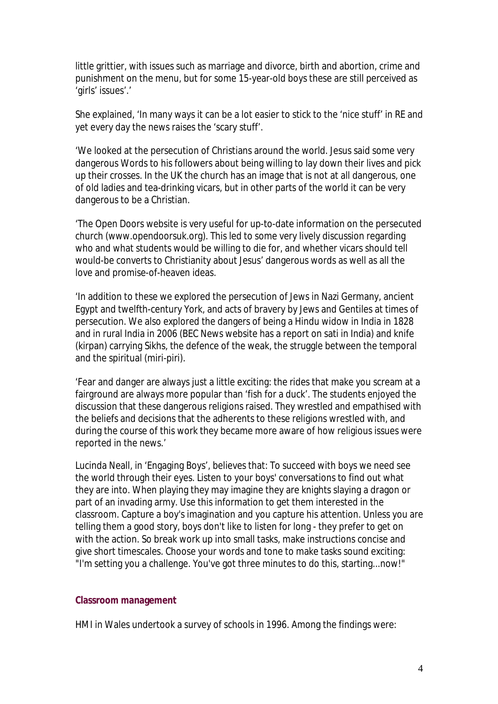little grittier, with issues such as marriage and divorce, birth and abortion, crime and punishment on the menu, but for some 15-year-old boys these are still perceived as 'girls' issues'.'

She explained, 'In many ways it can be a lot easier to stick to the 'nice stuff' in RE and yet every day the news raises the 'scary stuff'.

'We looked at the persecution of Christians around the world. Jesus said some very dangerous Words to his followers about being willing to lay down their lives and pick up their crosses. In the UK the church has an image that is not at all dangerous, one of old ladies and tea-drinking vicars, but in other parts of the world it can be very dangerous to be a Christian.

'The Open Doors website is very useful for up-to-date information on the persecuted church (www.opendoorsuk.org). This led to some very lively discussion regarding who and what students would be willing to die for, and whether vicars should tell would-be converts to Christianity about Jesus' dangerous words as well as all the love and promise-of-heaven ideas.

'In addition to these we explored the persecution of Jews in Nazi Germany, ancient Egypt and twelfth-century York, and acts of bravery by Jews and Gentiles at times of persecution. We also explored the dangers of being a Hindu widow in India in 1828 and in rural India in 2006 (BEC News website has a report on sati in India) and knife (kirpan) carrying Sikhs, the defence of the weak, the struggle between the temporal and the spiritual (miri-piri).

'Fear and danger are always just a little exciting: the rides that make you scream at a fairground are always more popular than 'fish for a duck'. The students enjoyed the discussion that these dangerous religions raised. They wrestled and empathised with the beliefs and decisions that the adherents to these religions wrestled with, and during the course of this work they became more aware of how religious issues were reported in the news.'

Lucinda Neall, in 'Engaging Boys', believes that: To succeed with boys we need see the world through their eyes. Listen to your boys' conversations to find out what they are into. When playing they may imagine they are knights slaying a dragon or part of an invading army. Use this information to get them interested in the classroom. Capture a boy's imagination and you capture his attention. Unless you are telling them a good story, boys don't like to listen for long - they prefer to get on with the action. So break work up into small tasks, make instructions concise and give short timescales. Choose your words and tone to make tasks sound exciting: "I'm setting you a challenge. You've got three minutes to do this, starting...now!"

#### **Classroom management**

HMI in Wales undertook a survey of schools in 1996. Among the findings were: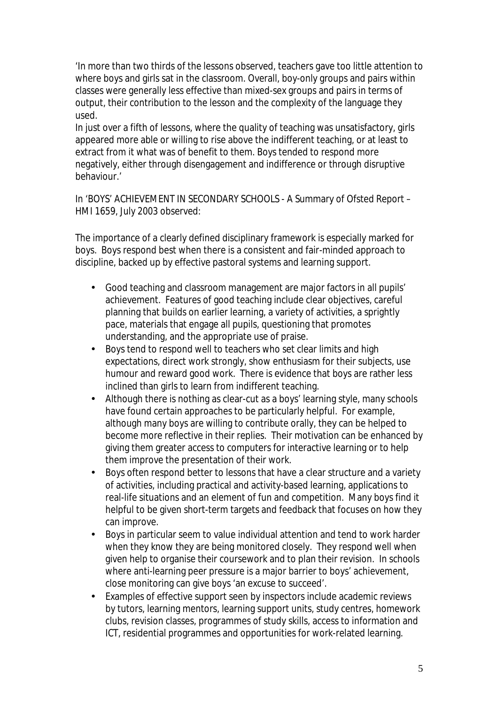*'*In more than two thirds of the lessons observed, teachers gave too little attention to where boys and girls sat in the classroom. Overall, boy-only groups and pairs within classes were generally less effective than mixed-sex groups and pairs in terms of output, their contribution to the lesson and the complexity of the language they used.

In just over a fifth of lessons, where the quality of teaching was unsatisfactory, girls appeared more able or willing to rise above the indifferent teaching, or at least to extract from it what was of benefit to them. Boys tended to respond more negatively, either through disengagement and indifference or through disruptive behaviour.'

In 'BOYS' ACHIEVEMENT IN SECONDARY SCHOOLS - A Summary of Ofsted Report – HMI 1659, *July 2003* observed:

The importance of a clearly defined disciplinary framework is especially marked for boys. Boys respond best when there is a consistent and fair-minded approach to discipline, backed up by effective pastoral systems and learning support.

- Good teaching and classroom management are major factors in all pupils' achievement. Features of good teaching include clear objectives, careful planning that builds on earlier learning, a variety of activities, a sprightly pace, materials that engage all pupils, questioning that promotes understanding, and the appropriate use of praise.
- Boys tend to respond well to teachers who set clear limits and high expectations, direct work strongly, show enthusiasm for their subjects, use humour and reward good work. There is evidence that boys are rather less inclined than girls to learn from indifferent teaching.
- Although there is nothing as clear-cut as a boys' learning style, many schools have found certain approaches to be particularly helpful. For example, although many boys are willing to contribute orally, they can be helped to become more reflective in their replies. Their motivation can be enhanced by giving them greater access to computers for interactive learning or to help them improve the presentation of their work.
- Boys often respond better to lessons that have a clear structure and a variety of activities, including practical and activity-based learning, applications to real-life situations and an element of fun and competition. Many boys find it helpful to be given short-term targets and feedback that focuses on how they can improve.
- Boys in particular seem to value individual attention and tend to work harder when they know they are being monitored closely. They respond well when given help to organise their coursework and to plan their revision. In schools where anti-learning peer pressure is a major barrier to boys' achievement, close monitoring can give boys 'an excuse to succeed'.
- Examples of effective support seen by inspectors include academic reviews by tutors, learning mentors, learning support units, study centres, homework clubs, revision classes, programmes of study skills, access to information and ICT, residential programmes and opportunities for work-related learning.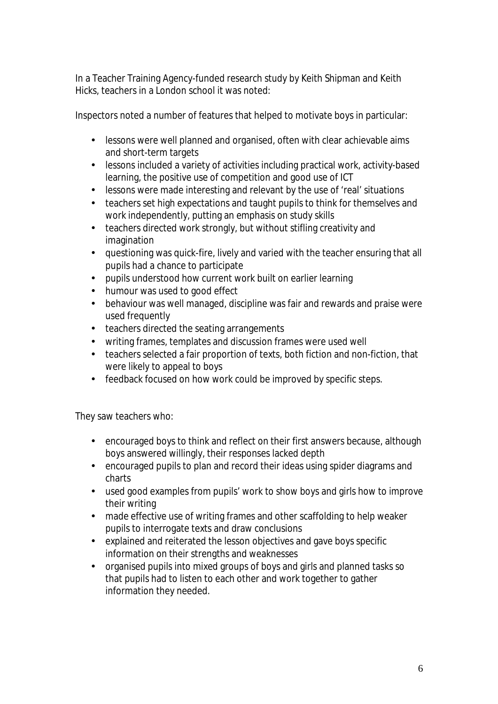In a Teacher Training Agency-funded research study by Keith Shipman and Keith Hicks, teachers in a London school it was noted:

Inspectors noted a number of features that helped to motivate boys in particular:

- lessons were well planned and organised, often with clear achievable aims and short-term targets
- lessons included a variety of activities including practical work, activity-based learning, the positive use of competition and good use of ICT
- lessons were made interesting and relevant by the use of 'real' situations
- teachers set high expectations and taught pupils to think for themselves and work independently, putting an emphasis on study skills
- teachers directed work strongly, but without stifling creativity and imagination
- questioning was quick-fire, lively and varied with the teacher ensuring that all pupils had a chance to participate
- pupils understood how current work built on earlier learning
- humour was used to good effect
- behaviour was well managed, discipline was fair and rewards and praise were used frequently
- teachers directed the seating arrangements
- writing frames, templates and discussion frames were used well
- teachers selected a fair proportion of texts, both fiction and non-fiction, that were likely to appeal to boys
- feedback focused on how work could be improved by specific steps.

They saw teachers who:

- encouraged boys to think and reflect on their first answers because, although boys answered willingly, their responses lacked depth
- encouraged pupils to plan and record their ideas using spider diagrams and charts
- used good examples from pupils' work to show boys and girls how to improve their writing
- made effective use of writing frames and other scaffolding to help weaker pupils to interrogate texts and draw conclusions
- explained and reiterated the lesson objectives and gave boys specific information on their strengths and weaknesses
- organised pupils into mixed groups of boys and girls and planned tasks so that pupils had to listen to each other and work together to gather information they needed.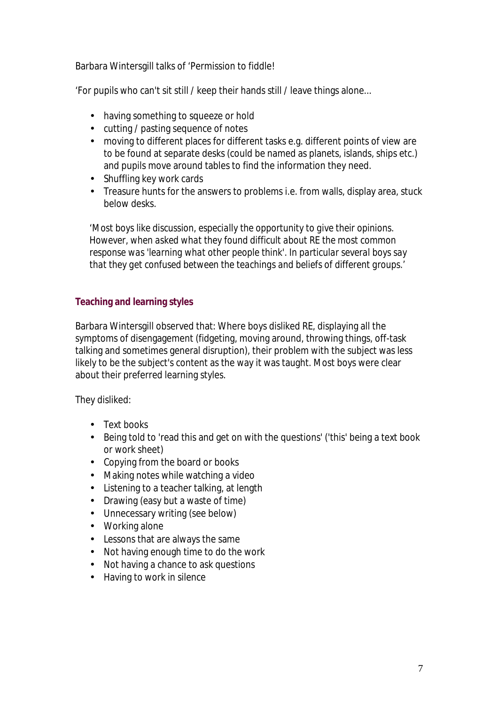Barbara Wintersgill talks of 'Permission to fiddle!

'For pupils who can't sit still / keep their hands still / leave things alone...

- having something to squeeze or hold
- cutting / pasting sequence of notes
- moving to different places for different tasks e.g. different points of view are to be found at separate desks (could be named as planets, islands, ships etc.) and pupils move around tables to find the information they need.
- Shuffling key work cards
- Treasure hunts for the answers to problems i.e. from walls, display area, stuck below desks.

*'Most boys like discussion, especially the opportunity to give their opinions. However, when asked what they found difficult about RE the most common response was 'learning what other people think'. In particular several boys say that they get confused between the teachings and beliefs of different groups.'*

# **Teaching and learning styles**

Barbara Wintersgill observed that: Where boys disliked RE, displaying all the symptoms of disengagement (fidgeting, moving around, throwing things, off-task talking and sometimes general disruption), their problem with the subject was less likely to be the subject's content as the way it was taught. Most boys were clear about their preferred learning styles.

They disliked:

- Text books
- Being told to 'read this and get on with the questions' ('this' being a text book or work sheet)
- Copying from the board or books
- Making notes while watching a video
- Listening to a teacher talking, at length
- Drawing (easy but a waste of time)
- Unnecessary writing (see below)
- Working alone
- Lessons that are always the same
- Not having enough time to do the work
- Not having a chance to ask questions
- Having to work in silence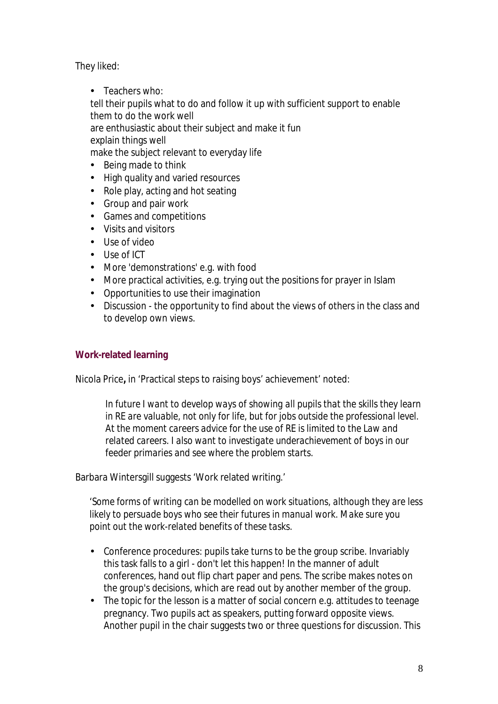They liked:

• Teachers who: tell their pupils what to do and follow it up with sufficient support to enable them to do the work well are enthusiastic about their subject and make it fun explain things well make the subject relevant to everyday life

- Being made to think
- High quality and varied resources
- Role play, acting and hot seating
- Group and pair work
- Games and competitions
- Visits and visitors
- Use of video
- Use of ICT
- More 'demonstrations' e.g. with food
- More practical activities, e.g. trying out the positions for prayer in Islam
- Opportunities to use their imagination
- Discussion the opportunity to find about the views of others in the class and to develop own views.

# **Work-related learning**

Nicola Price**,** in 'Practical steps to raising boys' achievement' noted:

*In future I want to develop ways of showing all pupils that the skills they learn in RE are valuable, not only for life, but for jobs outside the professional level. At the moment careers advice for the use of RE is limited to the Law and related careers. I also want to investigate underachievement of boys in our feeder primaries and see where the problem starts.*

Barbara Wintersgill suggests 'Work related writing.'

*'Some forms of writing can be modelled on work situations, although they are less likely to persuade boys who see their futures in manual work. Make sure you point out the work-related benefits of these tasks.*

- Conference procedures: pupils take turns to be the group scribe. Invariably this task falls to a girl - don't let this happen! In the manner of adult conferences, hand out flip chart paper and pens. The scribe makes notes on the group's decisions, which are read out by another member of the group.
- The topic for the lesson is a matter of social concern e.g. attitudes to teenage pregnancy. Two pupils act as speakers, putting forward opposite views. Another pupil in the chair suggests two or three questions for discussion. This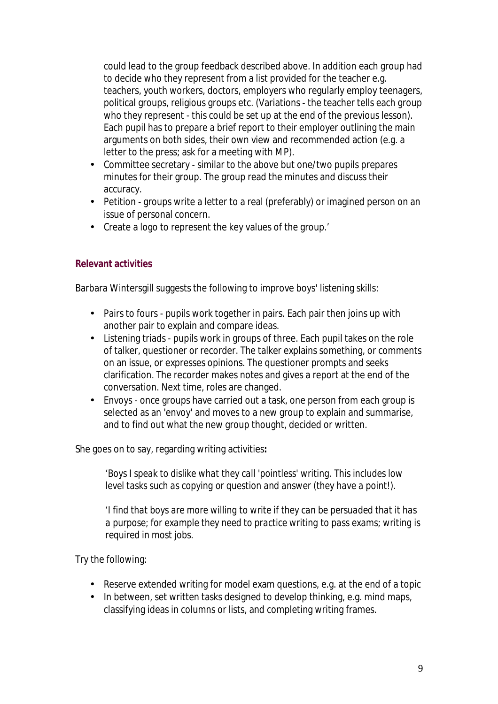could lead to the group feedback described above. In addition each group had to decide who they represent from a list provided for the teacher e.g. teachers, youth workers, doctors, employers who regularly employ teenagers, political groups, religious groups etc. (Variations - the teacher tells each group who they represent - this could be set up at the end of the previous lesson). Each pupil has to prepare a brief report to their employer outlining the main arguments on both sides, their own view and recommended action (e.g. a letter to the press; ask for a meeting with MP).

- Committee secretary similar to the above but one/two pupils prepares minutes for their group. The group read the minutes and discuss their accuracy.
- Petition groups write a letter to a real (preferably) or imagined person on an issue of personal concern.
- Create a logo to represent the key values of the group.'

# **Relevant activities**

Barbara Wintersgill suggests the following to improve boys' listening skills:

- Pairs to fours pupils work together in pairs. Each pair then joins up with another pair to explain and compare ideas.
- Listening triads pupils work in groups of three. Each pupil takes on the role of talker, questioner or recorder. The talker explains something, or comments on an issue, or expresses opinions. The questioner prompts and seeks clarification. The recorder makes notes and gives a report at the end of the conversation. Next time, roles are changed.
- Envoys once groups have carried out a task, one person from each group is selected as an 'envoy' and moves to a new group to explain and summarise, and to find out what the new group thought, decided or written.

She goes on to say, regarding writing activities**:**

*'Boys I speak to dislike what they call 'pointless' writing. This includes low level tasks such as copying or question and answer (they have a point!).*

*'I find that boys are more willing to write if they can be persuaded that it has a purpose; for example they need to practice writing to pass exams; writing is required in most jobs.*

Try the following:

- Reserve extended writing for model exam questions, e.g. at the end of a topic
- In between, set written tasks designed to develop thinking, e.g. mind maps, classifying ideas in columns or lists, and completing writing frames.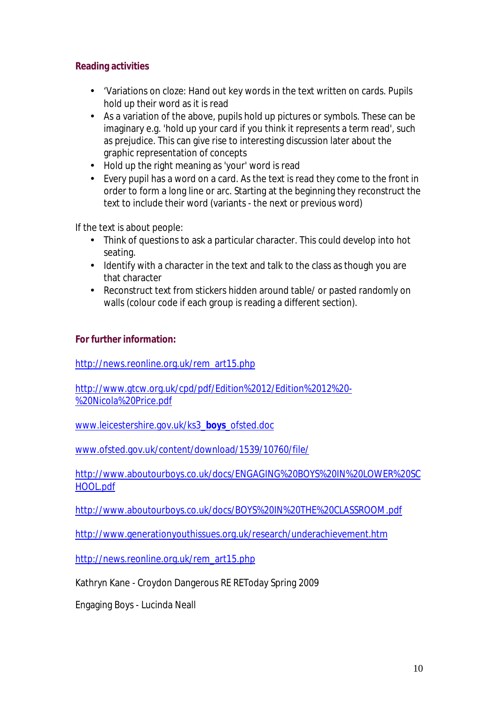## **Reading activities**

- 'Variations on cloze: Hand out key words in the text written on cards. Pupils hold up their word as it is read
- As a variation of the above, pupils hold up pictures or symbols. These can be imaginary e.g. 'hold up your card if you think it represents a term read', such as prejudice. This can give rise to interesting discussion later about the graphic representation of concepts
- Hold up the right meaning as 'your' word is read
- Every pupil has a word on a card. As the text is read they come to the front in order to form a long line or arc. Starting at the beginning they reconstruct the text to include their word (variants - the next or previous word)

If the text is about people:

- Think of questions to ask a particular character. This could develop into hot seating.
- Identify with a character in the text and talk to the class as though you are that character
- Reconstruct text from stickers hidden around table/ or pasted randomly on walls (colour code if each group is reading a different section).

### **For further information:**

http://news.reonline.org.uk/rem\_art15.php

http://www.gtcw.org.uk/cpd/pdf/Edition%2012/Edition%2012%20- %20Nicola%20Price.pdf

www.leicestershire.gov.uk/ks3\_**boys**\_ofsted.doc

www.ofsted.gov.uk/content/download/1539/10760/file/

http://www.aboutourboys.co.uk/docs/ENGAGING%20BOYS%20IN%20LOWER%20SC HOOL.pdf

http://www.aboutourboys.co.uk/docs/BOYS%20IN%20THE%20CLASSROOM.pdf

http://www.generationyouthissues.org.uk/research/underachievement.htm

http://news.reonline.org.uk/rem\_art15.php

Kathryn Kane - Croydon Dangerous RE REToday Spring 2009

Engaging Boys - Lucinda Neall